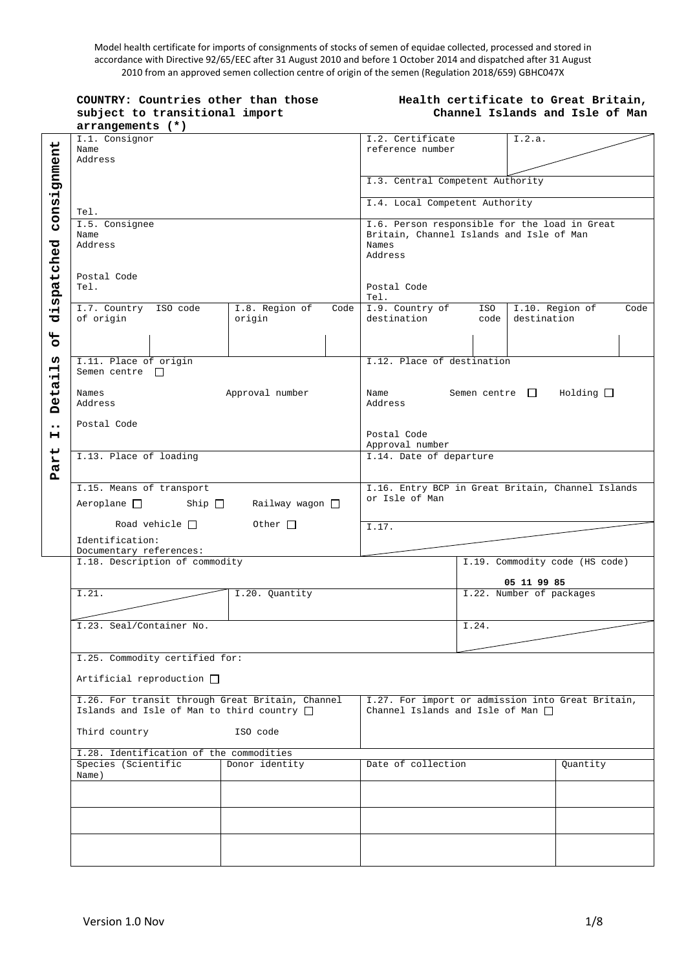Model health certificate for imports of consignments of stocks of semen of equidae collected, processed and stored in accordance with Directive 92/65/EEC after 31 August 2010 and before 1 October 2014 and dispatched after 31 August 2010 from an approved semen collection centre of origin of the semen (Regulation 2018/659) GBHC047X

**COUNTRY: Countries other than those subject to transitional import arrangements (\*)**

#### **Health certificate to Great Britain, Channel Islands and Isle of Man**

|                  | I.1. Consignor                                    |                 |      | I.2. Certificate                                  |       | I.2.a.                                            |      |  |
|------------------|---------------------------------------------------|-----------------|------|---------------------------------------------------|-------|---------------------------------------------------|------|--|
|                  | Name                                              |                 |      | reference number                                  |       |                                                   |      |  |
|                  | Address                                           |                 |      |                                                   |       |                                                   |      |  |
|                  |                                                   |                 |      |                                                   |       |                                                   |      |  |
|                  |                                                   |                 |      | I.3. Central Competent Authority                  |       |                                                   |      |  |
|                  |                                                   |                 |      | I.4. Local Competent Authority                    |       |                                                   |      |  |
| consignment      | Tel.                                              |                 |      |                                                   |       |                                                   |      |  |
|                  | I.5. Consignee                                    |                 |      |                                                   |       | I.6. Person responsible for the load in Great     |      |  |
|                  | Name                                              |                 |      | Britain, Channel Islands and Isle of Man          |       |                                                   |      |  |
|                  | Address                                           |                 |      | Names                                             |       |                                                   |      |  |
|                  |                                                   |                 |      | Address                                           |       |                                                   |      |  |
|                  |                                                   |                 |      |                                                   |       |                                                   |      |  |
|                  | Postal Code                                       |                 |      |                                                   |       |                                                   |      |  |
| dispatched       | Tel.                                              |                 |      | Postal Code                                       |       |                                                   |      |  |
|                  |                                                   |                 |      | Tel.                                              |       |                                                   |      |  |
|                  | I.7. Country ISO code                             | I.8. Region of  | Code | I.9. Country of ISO                               |       | I.10. Region of                                   | Code |  |
|                  | of origin                                         | origin          |      | destination                                       | code  | destination                                       |      |  |
| $\mathbf{H}$     |                                                   |                 |      |                                                   |       |                                                   |      |  |
| O                |                                                   |                 |      |                                                   |       |                                                   |      |  |
|                  |                                                   |                 |      |                                                   |       |                                                   |      |  |
| ω                | I.11. Place of origin                             |                 |      | I.12. Place of destination                        |       |                                                   |      |  |
| 뷰                | Semen centre $\Box$                               |                 |      |                                                   |       |                                                   |      |  |
|                  |                                                   |                 |      |                                                   |       |                                                   |      |  |
|                  | Names                                             | Approval number |      | Name                                              |       | Semen centre $\Box$ Holding $\Box$                |      |  |
| Deta             | Address                                           |                 |      | Address                                           |       |                                                   |      |  |
|                  |                                                   |                 |      |                                                   |       |                                                   |      |  |
| $\bullet\bullet$ | Postal Code                                       |                 |      |                                                   |       |                                                   |      |  |
| н                |                                                   |                 |      | Postal Code                                       |       |                                                   |      |  |
|                  |                                                   |                 |      | Approval number                                   |       |                                                   |      |  |
| art              | I.13. Place of loading                            |                 |      | I.14. Date of departure                           |       |                                                   |      |  |
| д                |                                                   |                 |      |                                                   |       |                                                   |      |  |
|                  |                                                   |                 |      | I.16. Entry BCP in Great Britain, Channel Islands |       |                                                   |      |  |
|                  | I.15. Means of transport                          |                 |      |                                                   |       |                                                   |      |  |
|                  |                                                   |                 |      |                                                   |       |                                                   |      |  |
|                  | Aeroplane $\Box$ Ship $\Box$ Railway wagon $\Box$ |                 |      | or Isle of Man                                    |       |                                                   |      |  |
|                  |                                                   |                 |      |                                                   |       |                                                   |      |  |
|                  | Road vehicle $\Box$ Other $\Box$                  |                 |      | I.17.                                             |       |                                                   |      |  |
|                  | Identification:                                   |                 |      |                                                   |       |                                                   |      |  |
|                  | Documentary references:                           |                 |      |                                                   |       |                                                   |      |  |
|                  | I.18. Description of commodity                    |                 |      |                                                   |       | I.19. Commodity code (HS code)                    |      |  |
|                  |                                                   |                 |      |                                                   |       |                                                   |      |  |
|                  |                                                   |                 |      |                                                   |       | 05 11 99 85                                       |      |  |
|                  | I.21.                                             | I.20. Quantity  |      |                                                   |       | I.22. Number of packages                          |      |  |
|                  |                                                   |                 |      |                                                   |       |                                                   |      |  |
|                  |                                                   |                 |      |                                                   |       |                                                   |      |  |
|                  | I.23. Seal/Container No.                          |                 |      |                                                   | I.24. |                                                   |      |  |
|                  |                                                   |                 |      |                                                   |       |                                                   |      |  |
|                  |                                                   |                 |      |                                                   |       |                                                   |      |  |
|                  | I.25. Commodity certified for:                    |                 |      |                                                   |       |                                                   |      |  |
|                  |                                                   |                 |      |                                                   |       |                                                   |      |  |
|                  | Artificial reproduction $\square$                 |                 |      |                                                   |       |                                                   |      |  |
|                  |                                                   |                 |      |                                                   |       |                                                   |      |  |
|                  | I.26. For transit through Great Britain, Channel  |                 |      |                                                   |       | I.27. For import or admission into Great Britain, |      |  |
|                  | Islands and Isle of Man to third country $\Box$   |                 |      | Channel Islands and Isle of Man $\Box$            |       |                                                   |      |  |
|                  |                                                   | ISO code        |      |                                                   |       |                                                   |      |  |
|                  | Third country                                     |                 |      |                                                   |       |                                                   |      |  |
|                  | I.28. Identification of the commodities           |                 |      |                                                   |       |                                                   |      |  |
|                  | Species (Scientific                               | Donor identity  |      | Date of collection                                |       | Quantity                                          |      |  |
|                  | Name)                                             |                 |      |                                                   |       |                                                   |      |  |
|                  |                                                   |                 |      |                                                   |       |                                                   |      |  |
|                  |                                                   |                 |      |                                                   |       |                                                   |      |  |
|                  |                                                   |                 |      |                                                   |       |                                                   |      |  |
|                  |                                                   |                 |      |                                                   |       |                                                   |      |  |
|                  |                                                   |                 |      |                                                   |       |                                                   |      |  |
|                  |                                                   |                 |      |                                                   |       |                                                   |      |  |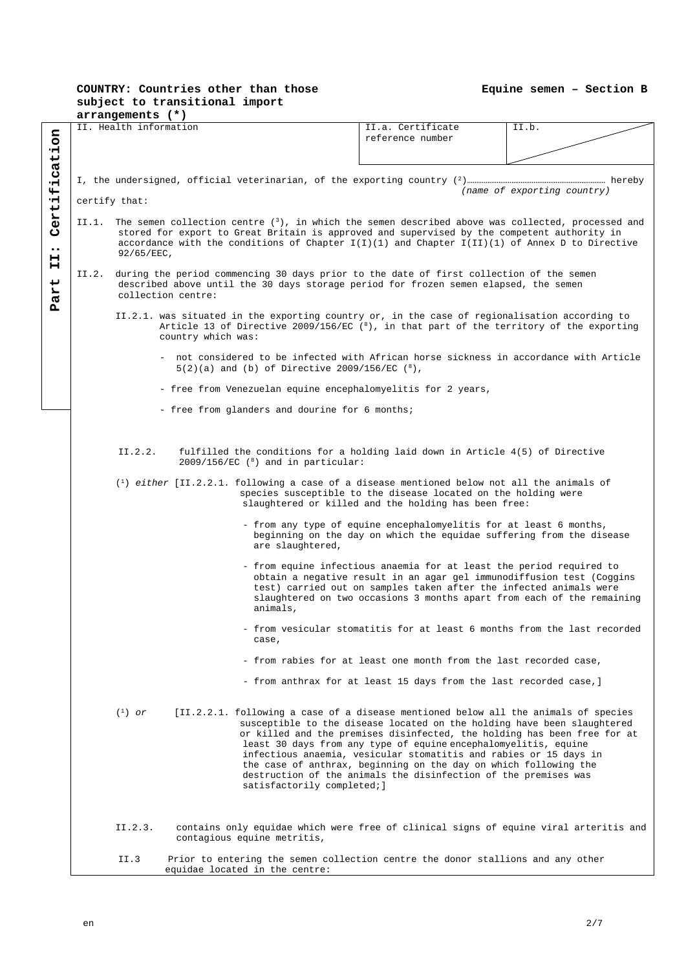## **COUNTRY: Countries other than those subject to transitional import**

|                                        |                                                                                                                                                                                                                                                                                                                                 | arrangements (*)       |                                                                                                                                                                                                       |                                                                                                                                                                                                                                                                                                                                                                                                                                                                                                                           |       |  |  |  |
|----------------------------------------|---------------------------------------------------------------------------------------------------------------------------------------------------------------------------------------------------------------------------------------------------------------------------------------------------------------------------------|------------------------|-------------------------------------------------------------------------------------------------------------------------------------------------------------------------------------------------------|---------------------------------------------------------------------------------------------------------------------------------------------------------------------------------------------------------------------------------------------------------------------------------------------------------------------------------------------------------------------------------------------------------------------------------------------------------------------------------------------------------------------------|-------|--|--|--|
| Certification                          |                                                                                                                                                                                                                                                                                                                                 | II. Health information |                                                                                                                                                                                                       | II.a. Certificate<br>reference number                                                                                                                                                                                                                                                                                                                                                                                                                                                                                     | II.b. |  |  |  |
|                                        |                                                                                                                                                                                                                                                                                                                                 |                        |                                                                                                                                                                                                       |                                                                                                                                                                                                                                                                                                                                                                                                                                                                                                                           |       |  |  |  |
|                                        | (name of exporting country)<br>certify that:                                                                                                                                                                                                                                                                                    |                        |                                                                                                                                                                                                       |                                                                                                                                                                                                                                                                                                                                                                                                                                                                                                                           |       |  |  |  |
|                                        |                                                                                                                                                                                                                                                                                                                                 |                        |                                                                                                                                                                                                       |                                                                                                                                                                                                                                                                                                                                                                                                                                                                                                                           |       |  |  |  |
| $\bullet\bullet$<br>н<br>н<br>L<br>Par | II.1. The semen collection centre $(3)$ , in which the semen described above was collected, processed and<br>stored for export to Great Britain is approved and supervised by the competent authority in<br>accordance with the conditions of Chapter $I(I)(1)$ and Chapter $I(II)(1)$ of Annex D to Directive<br>$92/65/EEC$ , |                        |                                                                                                                                                                                                       |                                                                                                                                                                                                                                                                                                                                                                                                                                                                                                                           |       |  |  |  |
|                                        | II.2.                                                                                                                                                                                                                                                                                                                           |                        | during the period commencing 30 days prior to the date of first collection of the semen<br>described above until the 30 days storage period for frozen semen elapsed, the semen<br>collection centre: |                                                                                                                                                                                                                                                                                                                                                                                                                                                                                                                           |       |  |  |  |
|                                        | II.2.1. was situated in the exporting country or, in the case of regionalisation according to<br>Article 13 of Directive 2009/156/EC $(8)$ , in that part of the territory of the exporting<br>country which was:                                                                                                               |                        |                                                                                                                                                                                                       |                                                                                                                                                                                                                                                                                                                                                                                                                                                                                                                           |       |  |  |  |
|                                        |                                                                                                                                                                                                                                                                                                                                 |                        | - not considered to be infected with African horse sickness in accordance with Article<br>$5(2)(a)$ and (b) of Directive 2009/156/EC $(^8)$ ,                                                         |                                                                                                                                                                                                                                                                                                                                                                                                                                                                                                                           |       |  |  |  |
|                                        |                                                                                                                                                                                                                                                                                                                                 |                        | - free from Venezuelan equine encephalomyelitis for 2 years,                                                                                                                                          |                                                                                                                                                                                                                                                                                                                                                                                                                                                                                                                           |       |  |  |  |
|                                        |                                                                                                                                                                                                                                                                                                                                 |                        | - free from glanders and dourine for 6 months;                                                                                                                                                        |                                                                                                                                                                                                                                                                                                                                                                                                                                                                                                                           |       |  |  |  |
|                                        |                                                                                                                                                                                                                                                                                                                                 | II.2.2.                | fulfilled the conditions for a holding laid down in Article 4(5) of Directive<br>$2009/156/EC$ ( $8$ ) and in particular:                                                                             |                                                                                                                                                                                                                                                                                                                                                                                                                                                                                                                           |       |  |  |  |
|                                        |                                                                                                                                                                                                                                                                                                                                 |                        | $(1)$ either [II.2.2.1. following a case of a disease mentioned below not all the animals of                                                                                                          | species susceptible to the disease located on the holding were<br>slaughtered or killed and the holding has been free:                                                                                                                                                                                                                                                                                                                                                                                                    |       |  |  |  |
|                                        |                                                                                                                                                                                                                                                                                                                                 |                        | are slaughtered,                                                                                                                                                                                      | - from any type of equine encephalomyelitis for at least 6 months,<br>beginning on the day on which the equidae suffering from the disease                                                                                                                                                                                                                                                                                                                                                                                |       |  |  |  |
|                                        |                                                                                                                                                                                                                                                                                                                                 |                        | animals,                                                                                                                                                                                              | - from equine infectious anaemia for at least the period required to<br>obtain a negative result in an agar gel immunodiffusion test (Coggins<br>test) carried out on samples taken after the infected animals were<br>slaughtered on two occasions 3 months apart from each of the remaining                                                                                                                                                                                                                             |       |  |  |  |
|                                        |                                                                                                                                                                                                                                                                                                                                 |                        | case,                                                                                                                                                                                                 | from vesicular stomatitis for at least 6 months from the last recorded                                                                                                                                                                                                                                                                                                                                                                                                                                                    |       |  |  |  |
|                                        |                                                                                                                                                                                                                                                                                                                                 |                        |                                                                                                                                                                                                       | - from rabies for at least one month from the last recorded case,                                                                                                                                                                                                                                                                                                                                                                                                                                                         |       |  |  |  |
|                                        |                                                                                                                                                                                                                                                                                                                                 |                        |                                                                                                                                                                                                       | - from anthrax for at least 15 days from the last recorded case, ]                                                                                                                                                                                                                                                                                                                                                                                                                                                        |       |  |  |  |
|                                        |                                                                                                                                                                                                                                                                                                                                 | $(1)$ or               | satisfactorily completed; ]                                                                                                                                                                           | [II.2.2.1. following a case of a disease mentioned below all the animals of species<br>susceptible to the disease located on the holding have been slaughtered<br>or killed and the premises disinfected, the holding has been free for at<br>least 30 days from any type of equine encephalomyelitis, equine<br>infectious anaemia, vesicular stomatitis and rabies or 15 days in<br>the case of anthrax, beginning on the day on which following the<br>destruction of the animals the disinfection of the premises was |       |  |  |  |
|                                        |                                                                                                                                                                                                                                                                                                                                 | II.2.3.                | contagious equine metritis,                                                                                                                                                                           | contains only equidae which were free of clinical signs of equine viral arteritis and                                                                                                                                                                                                                                                                                                                                                                                                                                     |       |  |  |  |
|                                        |                                                                                                                                                                                                                                                                                                                                 | II.3                   | Prior to entering the semen collection centre the donor stallions and any other<br>equidae located in the centre:                                                                                     |                                                                                                                                                                                                                                                                                                                                                                                                                                                                                                                           |       |  |  |  |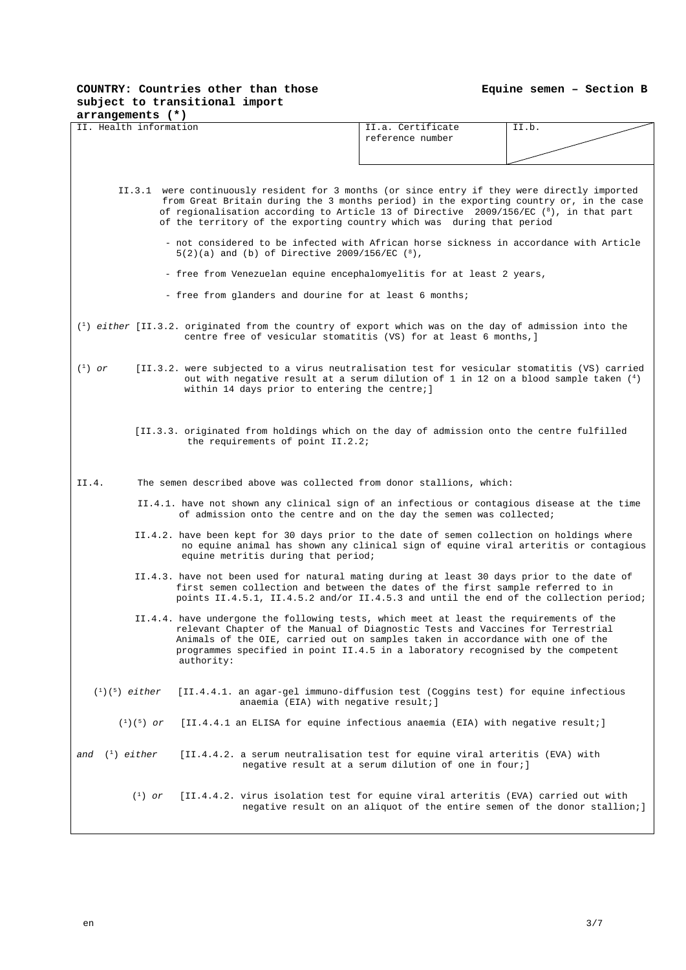## **COUNTRY: Countries other than those subject to transitional import**

| arrangements (*)                                                                                                |                                                                                                                                                                                                                                                                                                                                                  |  |  |  |  |  |
|-----------------------------------------------------------------------------------------------------------------|--------------------------------------------------------------------------------------------------------------------------------------------------------------------------------------------------------------------------------------------------------------------------------------------------------------------------------------------------|--|--|--|--|--|
| II. Health information                                                                                          | II.a. Certificate<br>II.b.                                                                                                                                                                                                                                                                                                                       |  |  |  |  |  |
|                                                                                                                 | reference number                                                                                                                                                                                                                                                                                                                                 |  |  |  |  |  |
|                                                                                                                 |                                                                                                                                                                                                                                                                                                                                                  |  |  |  |  |  |
|                                                                                                                 |                                                                                                                                                                                                                                                                                                                                                  |  |  |  |  |  |
|                                                                                                                 |                                                                                                                                                                                                                                                                                                                                                  |  |  |  |  |  |
|                                                                                                                 |                                                                                                                                                                                                                                                                                                                                                  |  |  |  |  |  |
| of the territory of the exporting country which was during that period                                          | II.3.1 were continuously resident for 3 months (or since entry if they were directly imported<br>from Great Britain during the 3 months period) in the exporting country or, in the case<br>of regionalisation according to Article 13 of Directive 2009/156/EC (8), in that part                                                                |  |  |  |  |  |
| $5(2)(a)$ and (b) of Directive 2009/156/EC $(^8)$ ,                                                             | - not considered to be infected with African horse sickness in accordance with Article                                                                                                                                                                                                                                                           |  |  |  |  |  |
| - free from Venezuelan equine encephalomyelitis for at least 2 years,                                           |                                                                                                                                                                                                                                                                                                                                                  |  |  |  |  |  |
| - free from glanders and dourine for at least 6 months;                                                         |                                                                                                                                                                                                                                                                                                                                                  |  |  |  |  |  |
|                                                                                                                 |                                                                                                                                                                                                                                                                                                                                                  |  |  |  |  |  |
| $\binom{1}{1}$ either [II.3.2. originated from the country of export which was on the day of admission into the | centre free of vesicular stomatitis (VS) for at least 6 months, ]                                                                                                                                                                                                                                                                                |  |  |  |  |  |
| $(^1)$ or<br>within 14 days prior to entering the centre; ]                                                     | [II.3.2. were subjected to a virus neutralisation test for vesicular stomatitis (VS) carried<br>out with negative result at a serum dilution of 1 in 12 on a blood sample taken $(4)$                                                                                                                                                            |  |  |  |  |  |
| the requirements of point II.2.2;                                                                               | [II.3.3. originated from holdings which on the day of admission onto the centre fulfilled                                                                                                                                                                                                                                                        |  |  |  |  |  |
| The semen described above was collected from donor stallions, which:<br>II.4.                                   |                                                                                                                                                                                                                                                                                                                                                  |  |  |  |  |  |
|                                                                                                                 | II.4.1. have not shown any clinical sign of an infectious or contagious disease at the time<br>of admission onto the centre and on the day the semen was collected;                                                                                                                                                                              |  |  |  |  |  |
| equine metritis during that period;                                                                             | II.4.2. have been kept for 30 days prior to the date of semen collection on holdings where<br>no equine animal has shown any clinical sign of equine viral arteritis or contagious                                                                                                                                                               |  |  |  |  |  |
|                                                                                                                 | II.4.3. have not been used for natural mating during at least 30 days prior to the date of<br>first semen collection and between the dates of the first sample referred to in<br>points II.4.5.1, II.4.5.2 and/or II.4.5.3 and until the end of the collection period;                                                                           |  |  |  |  |  |
| authority:                                                                                                      | II.4.4. have undergone the following tests, which meet at least the requirements of the<br>relevant Chapter of the Manual of Diagnostic Tests and Vaccines for Terrestrial<br>Animals of the OIE, carried out on samples taken in accordance with one of the<br>programmes specified in point II.4.5 in a laboratory recognised by the competent |  |  |  |  |  |
| $({}^{1})({}^{5})$ either<br>anaemia (EIA) with negative result; ]                                              | [II.4.4.1. an agar-gel immuno-diffusion test (Coggins test) for equine infectious                                                                                                                                                                                                                                                                |  |  |  |  |  |
| $(1)(5)$ or                                                                                                     | [II.4.4.1 an ELISA for equine infectious anaemia (EIA) with negative result;                                                                                                                                                                                                                                                                     |  |  |  |  |  |
| $\binom{1}{1}$ either<br>and                                                                                    | [II.4.4.2. a serum neutralisation test for equine viral arteritis (EVA) with<br>negative result at a serum dilution of one in four; ]                                                                                                                                                                                                            |  |  |  |  |  |
| $\binom{1}{1}$ or                                                                                               | [II.4.4.2. virus isolation test for equine viral arteritis (EVA) carried out with<br>negative result on an aliquot of the entire semen of the donor stallion;                                                                                                                                                                                    |  |  |  |  |  |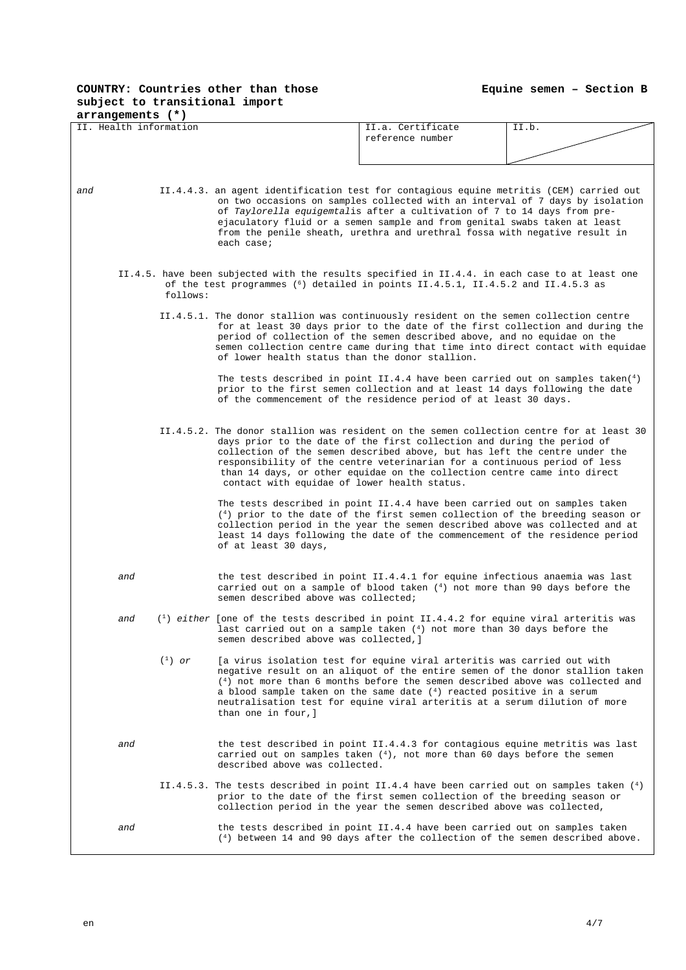## **COUNTRY: Countries other than those subject to transitional import**

**Equine semen – Section B**

| arrangements (*)       |                                                                                                                                                                                                 |                                                                                                                                                                                                                                                                                                                                                                                                      |       |  |  |  |
|------------------------|-------------------------------------------------------------------------------------------------------------------------------------------------------------------------------------------------|------------------------------------------------------------------------------------------------------------------------------------------------------------------------------------------------------------------------------------------------------------------------------------------------------------------------------------------------------------------------------------------------------|-------|--|--|--|
| II. Health information |                                                                                                                                                                                                 | II.a. Certificate                                                                                                                                                                                                                                                                                                                                                                                    | II.b. |  |  |  |
|                        |                                                                                                                                                                                                 | reference number                                                                                                                                                                                                                                                                                                                                                                                     |       |  |  |  |
|                        |                                                                                                                                                                                                 |                                                                                                                                                                                                                                                                                                                                                                                                      |       |  |  |  |
|                        |                                                                                                                                                                                                 |                                                                                                                                                                                                                                                                                                                                                                                                      |       |  |  |  |
|                        |                                                                                                                                                                                                 |                                                                                                                                                                                                                                                                                                                                                                                                      |       |  |  |  |
| and                    | II.4.4.3. an agent identification test for contagious equine metritis (CEM) carried out<br>each case;                                                                                           | on two occasions on samples collected with an interval of 7 days by isolation<br>of Taylorella equigemtalis after a cultivation of 7 to 14 days from pre-<br>ejaculatory fluid or a semen sample and from genital swabs taken at least<br>from the penile sheath, urethra and urethral fossa with negative result in                                                                                 |       |  |  |  |
| follows:               | II.4.5. have been subjected with the results specified in II.4.4. in each case to at least one<br>of the test programmes ( <sup>6</sup> ) detailed in points II.4.5.1, II.4.5.2 and II.4.5.3 as |                                                                                                                                                                                                                                                                                                                                                                                                      |       |  |  |  |
|                        |                                                                                                                                                                                                 |                                                                                                                                                                                                                                                                                                                                                                                                      |       |  |  |  |
|                        | II.4.5.1. The donor stallion was continuously resident on the semen collection centre<br>of lower health status than the donor stallion.                                                        | for at least 30 days prior to the date of the first collection and during the<br>period of collection of the semen described above, and no equidae on the<br>semen collection centre came during that time into direct contact with equidae                                                                                                                                                          |       |  |  |  |
|                        |                                                                                                                                                                                                 | The tests described in point II.4.4 have been carried out on samples taken( $4$ )<br>prior to the first semen collection and at least 14 days following the date<br>of the commencement of the residence period of at least 30 days.                                                                                                                                                                 |       |  |  |  |
|                        | II.4.5.2. The donor stallion was resident on the semen collection centre for at least 30<br>contact with equidae of lower health status.                                                        | days prior to the date of the first collection and during the period of<br>collection of the semen described above, but has left the centre under the<br>responsibility of the centre veterinarian for a continuous period of less<br>than 14 days, or other equidae on the collection centre came into direct                                                                                       |       |  |  |  |
|                        | of at least 30 days,                                                                                                                                                                            | The tests described in point II.4.4 have been carried out on samples taken<br>$(4)$ prior to the date of the first semen collection of the breeding season or<br>collection period in the year the semen described above was collected and at<br>least 14 days following the date of the commencement of the residence period                                                                        |       |  |  |  |
| and                    | semen described above was collected;                                                                                                                                                            | the test described in point II.4.4.1 for equine infectious anaemia was last<br>carried out on a sample of blood taken $(4)$ not more than 90 days before the                                                                                                                                                                                                                                         |       |  |  |  |
| and                    | $(1)$ either [one of the tests described in point II.4.4.2 for equine viral arteritis was<br>semen described above was collected, ]                                                             | last carried out on a sample taken $(4)$ not more than 30 days before the                                                                                                                                                                                                                                                                                                                            |       |  |  |  |
| $(1)$ or               | than one in four, l                                                                                                                                                                             | [a virus isolation test for equine viral arteritis was carried out with<br>negative result on an aliquot of the entire semen of the donor stallion taken<br>$(4)$ not more than 6 months before the semen described above was collected and<br>a blood sample taken on the same date $(4)$ reacted positive in a serum<br>neutralisation test for equine viral arteritis at a serum dilution of more |       |  |  |  |
| and                    | described above was collected.                                                                                                                                                                  | the test described in point II.4.4.3 for contagious equine metritis was last<br>carried out on samples taken $(4)$ , not more than 60 days before the semen                                                                                                                                                                                                                                          |       |  |  |  |
|                        | II.4.5.3. The tests described in point II.4.4 have been carried out on samples taken $(4)$                                                                                                      | prior to the date of the first semen collection of the breeding season or<br>collection period in the year the semen described above was collected,                                                                                                                                                                                                                                                  |       |  |  |  |
| and                    |                                                                                                                                                                                                 | the tests described in point II.4.4 have been carried out on samples taken<br>$(4)$ between 14 and 90 days after the collection of the semen described above.                                                                                                                                                                                                                                        |       |  |  |  |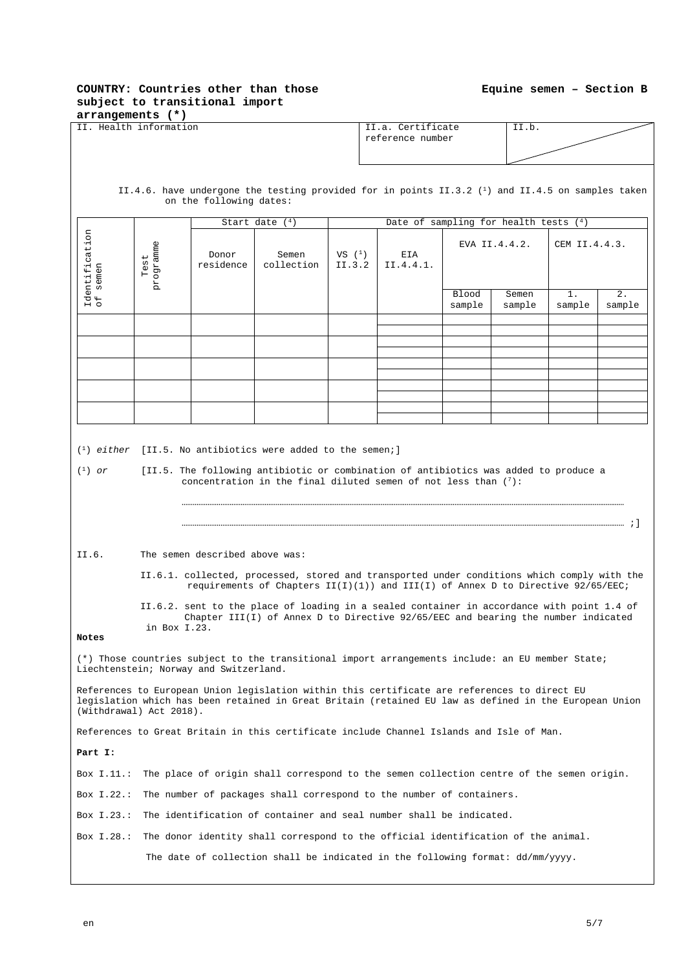### **COUNTRY: Countries other than those subject to transitional import**

| subject to transitional import<br>arrangements (*) |                   |                                        |                                                 |          |                                                                                                                                                                                                        |        |               |               |        |  |
|----------------------------------------------------|-------------------|----------------------------------------|-------------------------------------------------|----------|--------------------------------------------------------------------------------------------------------------------------------------------------------------------------------------------------------|--------|---------------|---------------|--------|--|
| II. Health information                             |                   |                                        |                                                 |          | II.a. Certificate                                                                                                                                                                                      |        |               | II.b.         |        |  |
|                                                    |                   |                                        |                                                 |          | reference number                                                                                                                                                                                       |        |               |               |        |  |
|                                                    |                   |                                        |                                                 |          |                                                                                                                                                                                                        |        |               |               |        |  |
|                                                    |                   |                                        |                                                 |          |                                                                                                                                                                                                        |        |               |               |        |  |
|                                                    |                   |                                        |                                                 |          |                                                                                                                                                                                                        |        |               |               |        |  |
|                                                    |                   | on the following dates:                |                                                 |          | II.4.6. have undergone the testing provided for in points II.3.2 ( <sup>1</sup> ) and II.4.5 on samples taken                                                                                          |        |               |               |        |  |
|                                                    |                   |                                        | Start date $(4)$                                |          | Date of sampling for health tests $(4)$                                                                                                                                                                |        |               |               |        |  |
|                                                    |                   |                                        |                                                 |          |                                                                                                                                                                                                        |        |               |               |        |  |
|                                                    |                   | Donor                                  | Semen                                           | VS $(1)$ | EIA                                                                                                                                                                                                    |        | EVA II.4.4.2. | CEM II.4.4.3. |        |  |
| Identification<br>of semen                         | programme<br>Test | residence                              | collection                                      | II.3.2   | II.4.4.1.                                                                                                                                                                                              |        |               |               |        |  |
|                                                    |                   |                                        |                                                 |          |                                                                                                                                                                                                        |        |               |               |        |  |
|                                                    |                   |                                        |                                                 |          |                                                                                                                                                                                                        | Blood  | Semen         | $1$ .         | 2.     |  |
|                                                    |                   |                                        |                                                 |          |                                                                                                                                                                                                        | sample | sample        | sample        | sample |  |
|                                                    |                   |                                        |                                                 |          |                                                                                                                                                                                                        |        |               |               |        |  |
|                                                    |                   |                                        |                                                 |          |                                                                                                                                                                                                        |        |               |               |        |  |
|                                                    |                   |                                        |                                                 |          |                                                                                                                                                                                                        |        |               |               |        |  |
|                                                    |                   |                                        |                                                 |          |                                                                                                                                                                                                        |        |               |               |        |  |
|                                                    |                   |                                        |                                                 |          |                                                                                                                                                                                                        |        |               |               |        |  |
|                                                    |                   |                                        |                                                 |          |                                                                                                                                                                                                        |        |               |               |        |  |
|                                                    |                   |                                        |                                                 |          |                                                                                                                                                                                                        |        |               |               |        |  |
|                                                    |                   |                                        |                                                 |          |                                                                                                                                                                                                        |        |               |               |        |  |
| $\binom{1}{1}$ either<br>$(1)$ or                  |                   |                                        | [II.5. No antibiotics were added to the semen;] |          | [II.5. The following antibiotic or combination of antibiotics was added to produce a<br>concentration in the final diluted semen of not less than $(7)$ :                                              |        |               |               |        |  |
| II.6.                                              |                   | The semen described above was:         |                                                 |          |                                                                                                                                                                                                        |        |               |               |        |  |
|                                                    |                   |                                        |                                                 |          | II.6.1. collected, processed, stored and transported under conditions which comply with the<br>requirements of Chapters $II(I)(1))$ and $III(I)$ of Annex D to Directive 92/65/EEC;                    |        |               |               |        |  |
|                                                    |                   |                                        |                                                 |          | II.6.2. sent to the place of loading in a sealed container in accordance with point 1.4 of                                                                                                             |        |               |               |        |  |
|                                                    | in Box I.23.      |                                        |                                                 |          | Chapter III(I) of Annex D to Directive 92/65/EEC and bearing the number indicated                                                                                                                      |        |               |               |        |  |
| Notes                                              |                   |                                        |                                                 |          |                                                                                                                                                                                                        |        |               |               |        |  |
|                                                    |                   | Liechtenstein; Norway and Switzerland. |                                                 |          | (*) Those countries subject to the transitional import arrangements include: an EU member State;                                                                                                       |        |               |               |        |  |
| (Withdrawal) Act 2018).                            |                   |                                        |                                                 |          | References to European Union legislation within this certificate are references to direct EU<br>legislation which has been retained in Great Britain (retained EU law as defined in the European Union |        |               |               |        |  |
|                                                    |                   |                                        |                                                 |          | References to Great Britain in this certificate include Channel Islands and Isle of Man.                                                                                                               |        |               |               |        |  |
| Part I:                                            |                   |                                        |                                                 |          |                                                                                                                                                                                                        |        |               |               |        |  |
| Box $I.11$ .:                                      |                   |                                        |                                                 |          | The place of origin shall correspond to the semen collection centre of the semen origin.                                                                                                               |        |               |               |        |  |
| Box $I.22.:$                                       |                   |                                        |                                                 |          | The number of packages shall correspond to the number of containers.                                                                                                                                   |        |               |               |        |  |
|                                                    |                   |                                        |                                                 |          | Box I.23.: The identification of container and seal number shall be indicated.                                                                                                                         |        |               |               |        |  |
| Box $I.28.:$                                       |                   |                                        |                                                 |          | The donor identity shall correspond to the official identification of the animal.                                                                                                                      |        |               |               |        |  |
|                                                    |                   |                                        |                                                 |          | The date of collection shall be indicated in the following format: dd/mm/yyyy.                                                                                                                         |        |               |               |        |  |
|                                                    |                   |                                        |                                                 |          |                                                                                                                                                                                                        |        |               |               |        |  |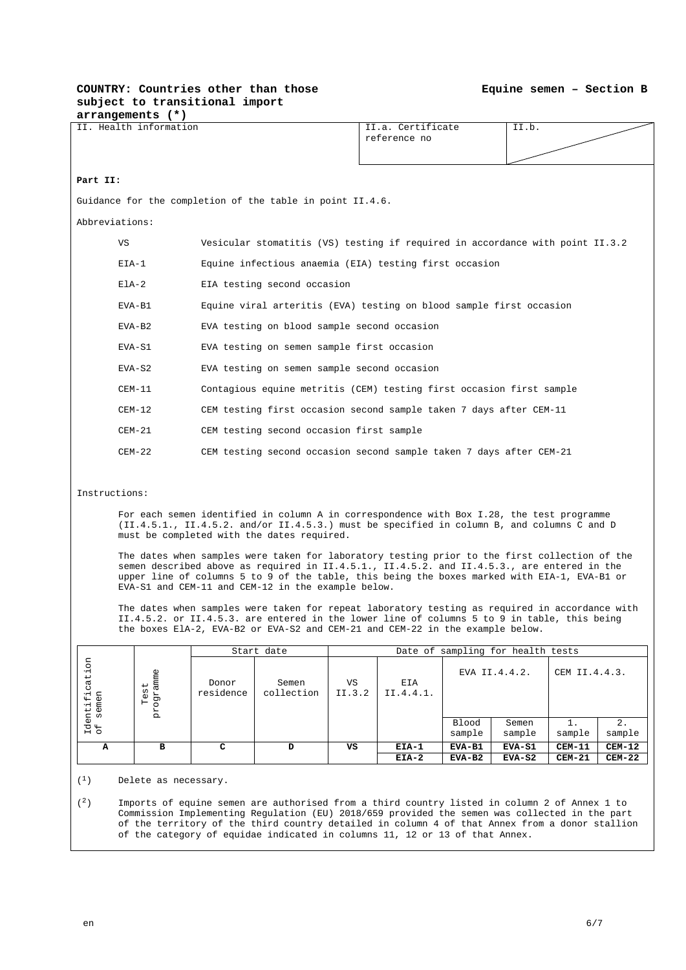#### **COUNTRY: Countries other than those subject to transitional import arrangements (\*)**

| II. Health information |                                                                                                                                                                                                                                                                                                                                                    | II.a. Certificate<br>reference no                                             | II.b.                                    |  |  |  |
|------------------------|----------------------------------------------------------------------------------------------------------------------------------------------------------------------------------------------------------------------------------------------------------------------------------------------------------------------------------------------------|-------------------------------------------------------------------------------|------------------------------------------|--|--|--|
| Part II:               |                                                                                                                                                                                                                                                                                                                                                    |                                                                               |                                          |  |  |  |
|                        | Guidance for the completion of the table in point II.4.6.                                                                                                                                                                                                                                                                                          |                                                                               |                                          |  |  |  |
| Abbreviations:         |                                                                                                                                                                                                                                                                                                                                                    |                                                                               |                                          |  |  |  |
| VS                     |                                                                                                                                                                                                                                                                                                                                                    | Vesicular stomatitis (VS) testing if required in accordance with point II.3.2 |                                          |  |  |  |
| $EIA-1$                |                                                                                                                                                                                                                                                                                                                                                    | Equine infectious anaemia (EIA) testing first occasion                        |                                          |  |  |  |
| $E1A-2$                | EIA testing second occasion                                                                                                                                                                                                                                                                                                                        |                                                                               |                                          |  |  |  |
| EVA-B1                 |                                                                                                                                                                                                                                                                                                                                                    | Equine viral arteritis (EVA) testing on blood sample first occasion           |                                          |  |  |  |
| $EVA-B2$               |                                                                                                                                                                                                                                                                                                                                                    | EVA testing on blood sample second occasion                                   |                                          |  |  |  |
| $EVA-S1$               |                                                                                                                                                                                                                                                                                                                                                    | EVA testing on semen sample first occasion                                    |                                          |  |  |  |
| $EVA-S2$               |                                                                                                                                                                                                                                                                                                                                                    | EVA testing on semen sample second occasion                                   |                                          |  |  |  |
| $CEM-11$               |                                                                                                                                                                                                                                                                                                                                                    | Contagious equine metritis (CEM) testing first occasion first sample          |                                          |  |  |  |
| $CEM-12$               |                                                                                                                                                                                                                                                                                                                                                    | CEM testing first occasion second sample taken 7 days after CEM-11            |                                          |  |  |  |
| $CEM-21$               |                                                                                                                                                                                                                                                                                                                                                    | CEM testing second occasion first sample                                      |                                          |  |  |  |
| $CEM-22$               |                                                                                                                                                                                                                                                                                                                                                    | CEM testing second occasion second sample taken 7 days after CEM-21           |                                          |  |  |  |
|                        |                                                                                                                                                                                                                                                                                                                                                    |                                                                               |                                          |  |  |  |
| Instructions:          |                                                                                                                                                                                                                                                                                                                                                    |                                                                               |                                          |  |  |  |
|                        | For each semen identified in column A in correspondence with Box I.28, the test programme<br>(II.4.5.1., II.4.5.2. and/or II.4.5.3.) must be specified in column B, and columns C and D<br>must be completed with the dates required.                                                                                                              |                                                                               |                                          |  |  |  |
|                        | The dates when samples were taken for laboratory testing prior to the first collection of the<br>semen described above as required in II.4.5.1., II.4.5.2. and II.4.5.3., are entered in the<br>upper line of columns 5 to 9 of the table, this being the boxes marked with EIA-1, EVA-B1 or<br>EVA-S1 and CEM-11 and CEM-12 in the example below. |                                                                               |                                          |  |  |  |
|                        | The dates when samples were taken for repeat laboratory testing as required in accordance with<br>II.4.5.2. or II.4.5.3. are entered in the lower line of columns 5 to 9 in table, this being<br>the boxes ElA-2, EVA-B2 or EVA-S2 and CEM-21 and CEM-22 in the example below.                                                                     |                                                                               |                                          |  |  |  |
|                        | Start date                                                                                                                                                                                                                                                                                                                                         |                                                                               | Date of sampling for health tests        |  |  |  |
| S<br>(1)               |                                                                                                                                                                                                                                                                                                                                                    |                                                                               | <b>FVA TT 440</b><br><b>CEM TT 4 4 3</b> |  |  |  |

|                                                        | DUULU UUUU<br>pace of bamping for nearen cepeb |                    |                     |              |                  |          |               |               |          |
|--------------------------------------------------------|------------------------------------------------|--------------------|---------------------|--------------|------------------|----------|---------------|---------------|----------|
| S<br>٠H<br>ēp<br>$-1$<br>semen<br>Identif:<br>of semen | amme<br>↵<br>ω<br>Η<br>$\omega$<br>н<br>Ŕ      | Donor<br>residence | Semen<br>collection | VS<br>II.3.2 | EIA<br>II.4.4.1. |          | EVA II.4.4.2. | CEM II.4.4.3. |          |
|                                                        |                                                |                    |                     |              |                  | Blood    | Semen         |               | 2.       |
|                                                        |                                                |                    |                     |              |                  | sample   | sample        | sample        | sample   |
| A                                                      | в                                              | с                  | D                   | VS           | EIA-1            | EVA-B1   | EVA-S1        | $CEM-11$      | $CEM-12$ |
|                                                        |                                                |                    |                     |              | $EIA-2$          | $EVA-B2$ | $EVA-S2$      | $CEM-21$      | $CEM-22$ |

 $(1)$  Delete as necessary.

 $(2)$  Imports of equine semen are authorised from a third country listed in column 2 of Annex 1 to Commission Implementing Regulation (EU) 2018/659 provided the semen was collected in the part of the territory of the third country detailed in column 4 of that Annex from a donor stallion of the category of equidae indicated in columns 11, 12 or 13 of that Annex.